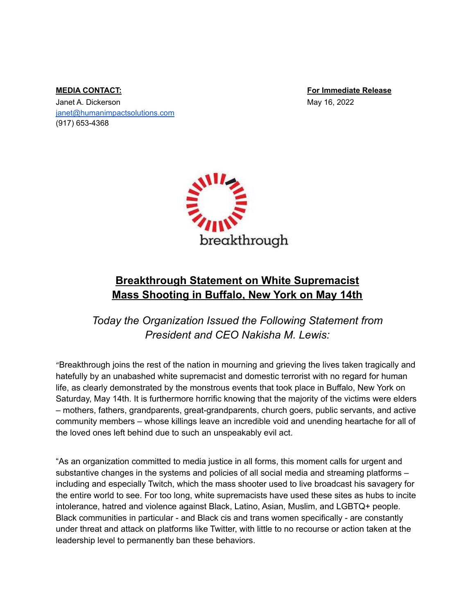Janet A. Dickerson May 16, 2022 [janet@humanimpactsolutions.com](mailto:janet@humanimpactsolutions.com) (917) 653-4368

**MEDIA CONTACT: For Immediate Release**



## **Breakthrough Statement on White Supremacist Mass Shooting in Buffalo, New York on May 14th**

*Today the Organization Issued the Following Statement from President and CEO Nakisha M. Lewis:*

"Breakthrough joins the rest of the nation in mourning and grieving the lives taken tragically and hatefully by an unabashed white supremacist and domestic terrorist with no regard for human life, as clearly demonstrated by the monstrous events that took place in Buffalo, New York on Saturday, May 14th. It is furthermore horrific knowing that the majority of the victims were elders – mothers, fathers, grandparents, great-grandparents, church goers, public servants, and active community members – whose killings leave an incredible void and unending heartache for all of the loved ones left behind due to such an unspeakably evil act.

"As an organization committed to media justice in all forms, this moment calls for urgent and substantive changes in the systems and policies of all social media and streaming platforms including and especially Twitch, which the mass shooter used to live broadcast his savagery for the entire world to see. For too long, white supremacists have used these sites as hubs to incite intolerance, hatred and violence against Black, Latino, Asian, Muslim, and LGBTQ+ people. Black communities in particular - and Black cis and trans women specifically - are constantly under threat and attack on platforms like Twitter, with little to no recourse or action taken at the leadership level to permanently ban these behaviors.